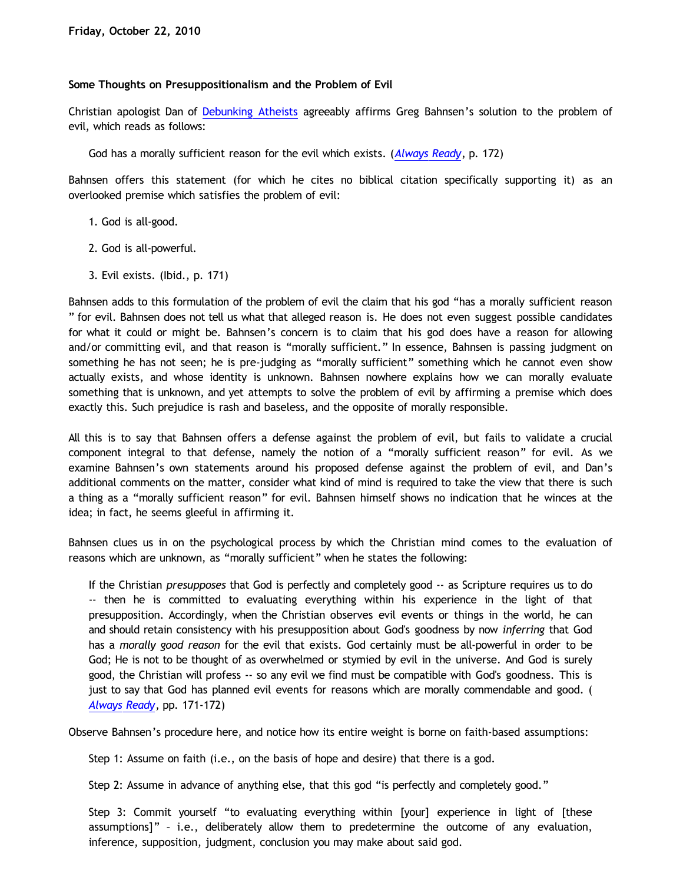## **Some Thoughts on Presuppositionalism and the Problem of Evil**

Christian apologist Dan of [Debunking Atheists](http://debunkingatheists.blogspot.com/2010/10/problem-of-evil.html) agreeably affirms Greg Bahnsen's solution to the problem of evil, which reads as follows:

God has a morally sufficient reason for the evil which exists. (*[Always Ready](http://www.cmfnow.com/articles/pa105.htm)*, p. 172)

Bahnsen offers this statement (for which he cites no biblical citation specifically supporting it) as an overlooked premise which satisfies the problem of evil:

- 1. God is all-good.
- 2. God is all-powerful.
- 3. Evil exists. (Ibid., p. 171)

Bahnsen adds to this formulation of the problem of evil the claim that his god "has a morally sufficient reason " for evil. Bahnsen does not tell us what that alleged reason is. He does not even suggest possible candidates for what it could or might be. Bahnsen's concern is to claim that his god does have a reason for allowing and/or committing evil, and that reason is "morally sufficient." In essence, Bahnsen is passing judgment on something he has not seen; he is pre-judging as "morally sufficient" something which he cannot even show actually exists, and whose identity is unknown. Bahnsen nowhere explains how we can morally evaluate something that is unknown, and yet attempts to solve the problem of evil by affirming a premise which does exactly this. Such prejudice is rash and baseless, and the opposite of morally responsible.

All this is to say that Bahnsen offers a defense against the problem of evil, but fails to validate a crucial component integral to that defense, namely the notion of a "morally sufficient reason" for evil. As we examine Bahnsen's own statements around his proposed defense against the problem of evil, and Dan's additional comments on the matter, consider what kind of mind is required to take the view that there is such a thing as a "morally sufficient reason" for evil. Bahnsen himself shows no indication that he winces at the idea; in fact, he seems gleeful in affirming it.

Bahnsen clues us in on the psychological process by which the Christian mind comes to the evaluation of reasons which are unknown, as "morally sufficient" when he states the following:

If the Christian *presupposes* that God is perfectly and completely good -- as Scripture requires us to do -- then he is committed to evaluating everything within his experience in the light of that presupposition. Accordingly, when the Christian observes evil events or things in the world, he can and should retain consistency with his presupposition about God's goodness by now *inferring* that God has a *morally good reason* for the evil that exists. God certainly must be all-powerful in order to be God; He is not to be thought of as overwhelmed or stymied by evil in the universe. And God is surely good, the Christian will profess -- so any evil we find must be compatible with God's goodness. This is just to say that God has planned evil events for reasons which are morally commendable and good. ( *[Always Ready](http://www.cmfnow.com/articles/pa105.htm)*, pp. 171-172)

Observe Bahnsen's procedure here, and notice how its entire weight is borne on faith-based assumptions:

Step 1: Assume on faith (i.e., on the basis of hope and desire) that there is a god.

Step 2: Assume in advance of anything else, that this god "is perfectly and completely good."

Step 3: Commit yourself "to evaluating everything within [your] experience in light of [these assumptions]" – i.e., deliberately allow them to predetermine the outcome of any evaluation, inference, supposition, judgment, conclusion you may make about said god.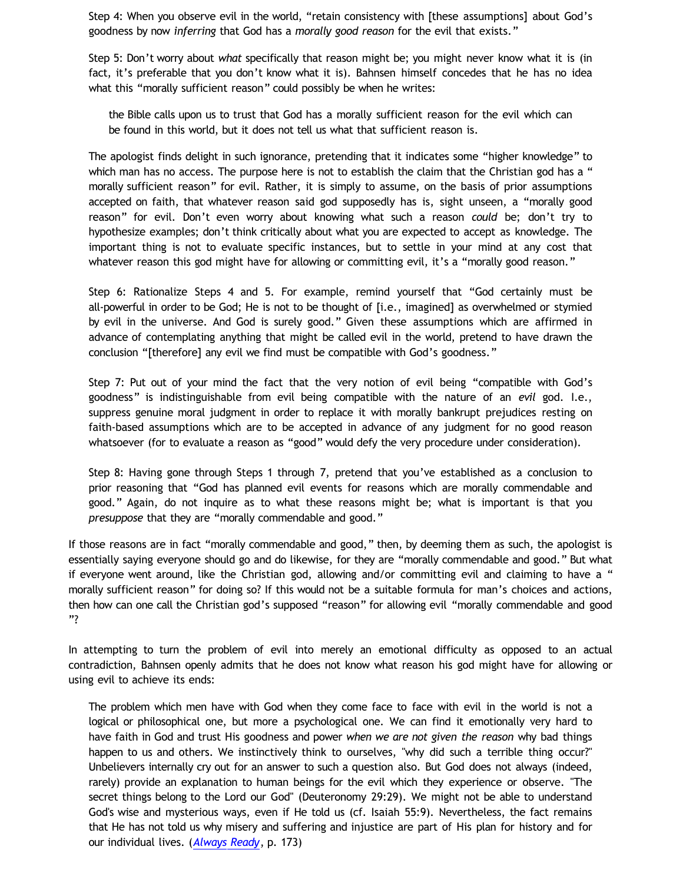Step 4: When you observe evil in the world, "retain consistency with [these assumptions] about God's goodness by now *inferring* that God has a *morally good reason* for the evil that exists."

Step 5: Don't worry about *what* specifically that reason might be; you might never know what it is (in fact, it's preferable that you don't know what it is). Bahnsen himself concedes that he has no idea what this "morally sufficient reason" could possibly be when he writes:

the Bible calls upon us to trust that God has a morally sufficient reason for the evil which can be found in this world, but it does not tell us what that sufficient reason is.

The apologist finds delight in such ignorance, pretending that it indicates some "higher knowledge" to which man has no access. The purpose here is not to establish the claim that the Christian god has a " morally sufficient reason" for evil. Rather, it is simply to assume, on the basis of prior assumptions accepted on faith, that whatever reason said god supposedly has is, sight unseen, a "morally good reason" for evil. Don't even worry about knowing what such a reason *could* be; don't try to hypothesize examples; don't think critically about what you are expected to accept as knowledge. The important thing is not to evaluate specific instances, but to settle in your mind at any cost that whatever reason this god might have for allowing or committing evil, it's a "morally good reason."

Step 6: Rationalize Steps 4 and 5. For example, remind yourself that "God certainly must be all-powerful in order to be God; He is not to be thought of [i.e., imagined] as overwhelmed or stymied by evil in the universe. And God is surely good." Given these assumptions which are affirmed in advance of contemplating anything that might be called evil in the world, pretend to have drawn the conclusion "[therefore] any evil we find must be compatible with God's goodness."

Step 7: Put out of your mind the fact that the very notion of evil being "compatible with God's goodness" is indistinguishable from evil being compatible with the nature of an *evil* god. I.e., suppress genuine moral judgment in order to replace it with morally bankrupt prejudices resting on faith-based assumptions which are to be accepted in advance of any judgment for no good reason whatsoever (for to evaluate a reason as "good" would defy the very procedure under consideration).

Step 8: Having gone through Steps 1 through 7, pretend that you've established as a conclusion to prior reasoning that "God has planned evil events for reasons which are morally commendable and good." Again, do not inquire as to what these reasons might be; what is important is that you *presuppose* that they are "morally commendable and good."

If those reasons are in fact "morally commendable and good," then, by deeming them as such, the apologist is essentially saying everyone should go and do likewise, for they are "morally commendable and good." But what if everyone went around, like the Christian god, allowing and/or committing evil and claiming to have a " morally sufficient reason" for doing so? If this would not be a suitable formula for man's choices and actions, then how can one call the Christian god's supposed "reason" for allowing evil "morally commendable and good "?

In attempting to turn the problem of evil into merely an emotional difficulty as opposed to an actual contradiction, Bahnsen openly admits that he does not know what reason his god might have for allowing or using evil to achieve its ends:

The problem which men have with God when they come face to face with evil in the world is not a logical or philosophical one, but more a psychological one. We can find it emotionally very hard to have faith in God and trust His goodness and power *when we are not given the reason* why bad things happen to us and others. We instinctively think to ourselves, "why did such a terrible thing occur?" Unbelievers internally cry out for an answer to such a question also. But God does not always (indeed, rarely) provide an explanation to human beings for the evil which they experience or observe. "The secret things belong to the Lord our God" (Deuteronomy 29:29). We might not be able to understand God's wise and mysterious ways, even if He told us (cf. Isaiah 55:9). Nevertheless, the fact remains that He has not told us why misery and suffering and injustice are part of His plan for history and for our individual lives. (*[Always Ready](http://www.cmfnow.com/articles/pa105.htm)*, p. 173)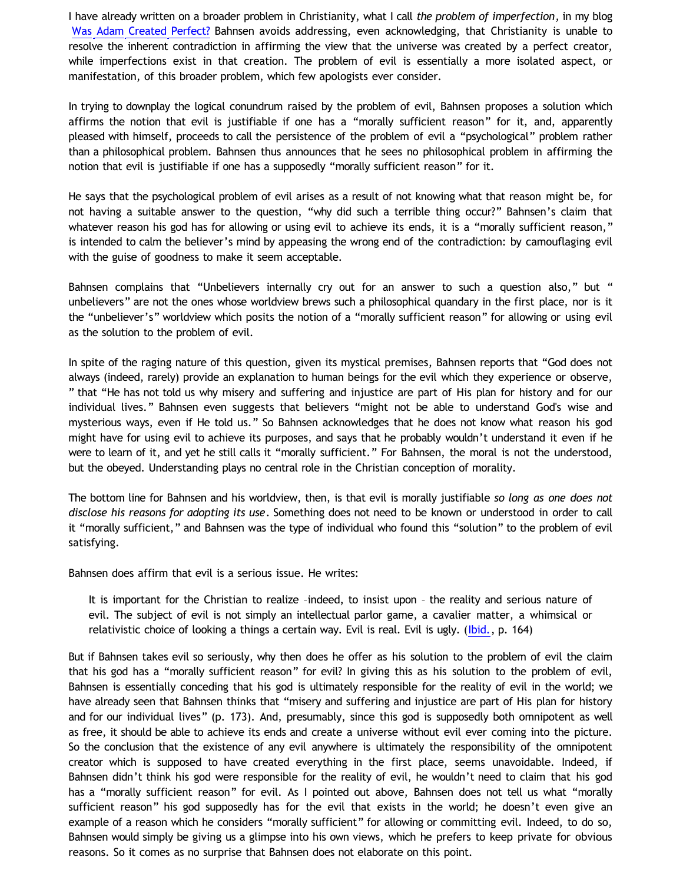I have already written on a broader problem in Christianity, what I call *the problem of imperfection*, in my blog [Was Adam Created Perfect?](http://bahnsenburner.blogspot.com/2009/03/was-adam-created-perfect.html) Bahnsen avoids addressing, even acknowledging, that Christianity is unable to resolve the inherent contradiction in affirming the view that the universe was created by a perfect creator, while imperfections exist in that creation. The problem of evil is essentially a more isolated aspect, or manifestation, of this broader problem, which few apologists ever consider.

In trying to downplay the logical conundrum raised by the problem of evil, Bahnsen proposes a solution which affirms the notion that evil is justifiable if one has a "morally sufficient reason" for it, and, apparently pleased with himself, proceeds to call the persistence of the problem of evil a "psychological" problem rather than a philosophical problem. Bahnsen thus announces that he sees no philosophical problem in affirming the notion that evil is justifiable if one has a supposedly "morally sufficient reason" for it.

He says that the psychological problem of evil arises as a result of not knowing what that reason might be, for not having a suitable answer to the question, "why did such a terrible thing occur?" Bahnsen's claim that whatever reason his god has for allowing or using evil to achieve its ends, it is a "morally sufficient reason," is intended to calm the believer's mind by appeasing the wrong end of the contradiction: by camouflaging evil with the guise of goodness to make it seem acceptable.

Bahnsen complains that "Unbelievers internally cry out for an answer to such a question also," but " unbelievers" are not the ones whose worldview brews such a philosophical quandary in the first place, nor is it the "unbeliever's" worldview which posits the notion of a "morally sufficient reason" for allowing or using evil as the solution to the problem of evil.

In spite of the raging nature of this question, given its mystical premises, Bahnsen reports that "God does not always (indeed, rarely) provide an explanation to human beings for the evil which they experience or observe, " that "He has not told us why misery and suffering and injustice are part of His plan for history and for our individual lives." Bahnsen even suggests that believers "might not be able to understand God's wise and mysterious ways, even if He told us." So Bahnsen acknowledges that he does not know what reason his god might have for using evil to achieve its purposes, and says that he probably wouldn't understand it even if he were to learn of it, and yet he still calls it "morally sufficient." For Bahnsen, the moral is not the understood, but the obeyed. Understanding plays no central role in the Christian conception of morality.

The bottom line for Bahnsen and his worldview, then, is that evil is morally justifiable *so long as one does not disclose his reasons for adopting its use*. Something does not need to be known or understood in order to call it "morally sufficient," and Bahnsen was the type of individual who found this "solution" to the problem of evil satisfying.

Bahnsen does affirm that evil is a serious issue. He writes:

It is important for the Christian to realize –indeed, to insist upon – the reality and serious nature of evil. The subject of evil is not simply an intellectual parlor game, a cavalier matter, a whimsical or relativistic choice of looking a things a certain way. Evil is real. Evil is ugly. ([Ibid.](http://www.cmfnow.com/articles/pa105.htm), p. 164)

But if Bahnsen takes evil so seriously, why then does he offer as his solution to the problem of evil the claim that his god has a "morally sufficient reason" for evil? In giving this as his solution to the problem of evil, Bahnsen is essentially conceding that his god is ultimately responsible for the reality of evil in the world; we have already seen that Bahnsen thinks that "misery and suffering and injustice are part of His plan for history and for our individual lives" (p. 173). And, presumably, since this god is supposedly both omnipotent as well as free, it should be able to achieve its ends and create a universe without evil ever coming into the picture. So the conclusion that the existence of any evil anywhere is ultimately the responsibility of the omnipotent creator which is supposed to have created everything in the first place, seems unavoidable. Indeed, if Bahnsen didn't think his god were responsible for the reality of evil, he wouldn't need to claim that his god has a "morally sufficient reason" for evil. As I pointed out above, Bahnsen does not tell us what "morally sufficient reason" his god supposedly has for the evil that exists in the world; he doesn't even give an example of a reason which he considers "morally sufficient" for allowing or committing evil. Indeed, to do so, Bahnsen would simply be giving us a glimpse into his own views, which he prefers to keep private for obvious reasons. So it comes as no surprise that Bahnsen does not elaborate on this point.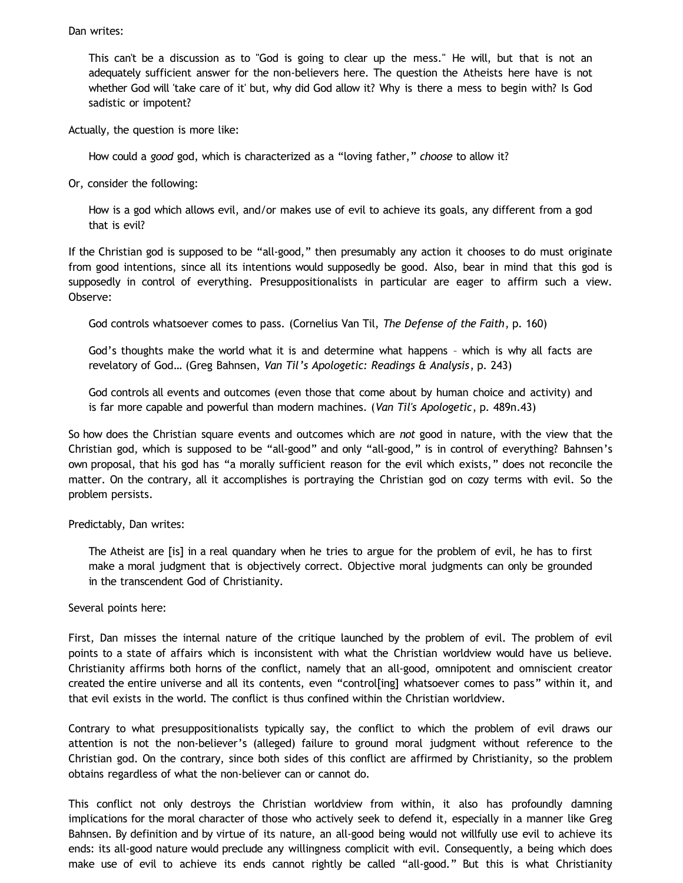Dan writes:

This can't be a discussion as to "God is going to clear up the mess." He will, but that is not an adequately sufficient answer for the non-believers here. The question the Atheists here have is not whether God will 'take care of it' but, why did God allow it? Why is there a mess to begin with? Is God sadistic or impotent?

Actually, the question is more like:

How could a *good* god, which is characterized as a "loving father," *choose* to allow it?

Or, consider the following:

How is a god which allows evil, and/or makes use of evil to achieve its goals, any different from a god that is evil?

If the Christian god is supposed to be "all-good," then presumably any action it chooses to do must originate from good intentions, since all its intentions would supposedly be good. Also, bear in mind that this god is supposedly in control of everything. Presuppositionalists in particular are eager to affirm such a view. Observe:

God controls whatsoever comes to pass. (Cornelius Van Til, *The Defense of the Faith*, p. 160)

God's thoughts make the world what it is and determine what happens – which is why all facts are revelatory of God… (Greg Bahnsen, *Van Til's Apologetic: Readings & Analysis*, p. 243)

God controls all events and outcomes (even those that come about by human choice and activity) and is far more capable and powerful than modern machines. (*Van Til's Apologetic*, p. 489n.43)

So how does the Christian square events and outcomes which are *not* good in nature, with the view that the Christian god, which is supposed to be "all-good" and only "all-good," is in control of everything? Bahnsen's own proposal, that his god has "a morally sufficient reason for the evil which exists," does not reconcile the matter. On the contrary, all it accomplishes is portraying the Christian god on cozy terms with evil. So the problem persists.

## Predictably, Dan writes:

The Atheist are [is] in a real quandary when he tries to argue for the problem of evil, he has to first make a moral judgment that is objectively correct. Objective moral judgments can only be grounded in the transcendent God of Christianity.

## Several points here:

First, Dan misses the internal nature of the critique launched by the problem of evil. The problem of evil points to a state of affairs which is inconsistent with what the Christian worldview would have us believe. Christianity affirms both horns of the conflict, namely that an all-good, omnipotent and omniscient creator created the entire universe and all its contents, even "control[ing] whatsoever comes to pass" within it, and that evil exists in the world. The conflict is thus confined within the Christian worldview.

Contrary to what presuppositionalists typically say, the conflict to which the problem of evil draws our attention is not the non-believer's (alleged) failure to ground moral judgment without reference to the Christian god. On the contrary, since both sides of this conflict are affirmed by Christianity, so the problem obtains regardless of what the non-believer can or cannot do.

This conflict not only destroys the Christian worldview from within, it also has profoundly damning implications for the moral character of those who actively seek to defend it, especially in a manner like Greg Bahnsen. By definition and by virtue of its nature, an all-good being would not willfully use evil to achieve its ends: its all-good nature would preclude any willingness complicit with evil. Consequently, a being which does make use of evil to achieve its ends cannot rightly be called "all-good." But this is what Christianity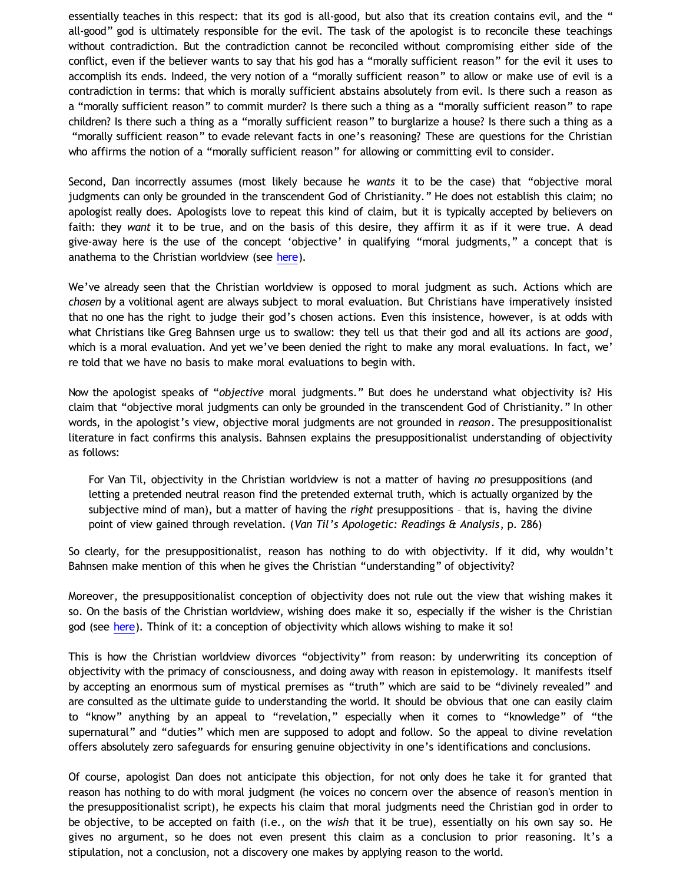essentially teaches in this respect: that its god is all-good, but also that its creation contains evil, and the " all-good" god is ultimately responsible for the evil. The task of the apologist is to reconcile these teachings without contradiction. But the contradiction cannot be reconciled without compromising either side of the conflict, even if the believer wants to say that his god has a "morally sufficient reason" for the evil it uses to accomplish its ends. Indeed, the very notion of a "morally sufficient reason" to allow or make use of evil is a contradiction in terms: that which is morally sufficient abstains absolutely from evil. Is there such a reason as a "morally sufficient reason" to commit murder? Is there such a thing as a "morally sufficient reason" to rape children? Is there such a thing as a "morally sufficient reason" to burglarize a house? Is there such a thing as a "morally sufficient reason" to evade relevant facts in one's reasoning? These are questions for the Christian who affirms the notion of a "morally sufficient reason" for allowing or committing evil to consider.

Second, Dan incorrectly assumes (most likely because he *wants* it to be the case) that "objective moral judgments can only be grounded in the transcendent God of Christianity." He does not establish this claim; no apologist really does. Apologists love to repeat this kind of claim, but it is typically accepted by believers on faith: they *want* it to be true, and on the basis of this desire, they affirm it as if it were true. A dead give-away here is the use of the concept 'objective' in qualifying "moral judgments," a concept that is anathema to the Christian worldview (see [here\)](http://bahnsenburner.blogspot.com/2010/02/how-theism-violates-primacy-of.html).

We've already seen that the Christian worldview is opposed to moral judgment as such. Actions which are *chosen* by a volitional agent are always subject to moral evaluation. But Christians have imperatively insisted that no one has the right to judge their god's chosen actions. Even this insistence, however, is at odds with what Christians like Greg Bahnsen urge us to swallow: they tell us that their god and all its actions are *good*, which is a moral evaluation. And yet we've been denied the right to make any moral evaluations. In fact, we' re told that we have no basis to make moral evaluations to begin with.

Now the apologist speaks of "*objective* moral judgments." But does he understand what objectivity is? His claim that "objective moral judgments can only be grounded in the transcendent God of Christianity." In other words, in the apologist's view, objective moral judgments are not grounded in *reason*. The presuppositionalist literature in fact confirms this analysis. Bahnsen explains the presuppositionalist understanding of objectivity as follows:

For Van Til, objectivity in the Christian worldview is not a matter of having *no* presuppositions (and letting a pretended neutral reason find the pretended external truth, which is actually organized by the subjective mind of man), but a matter of having the *right* presuppositions – that is, having the divine point of view gained through revelation. (*Van Til's Apologetic: Readings & Analysis*, p. 286)

So clearly, for the presuppositionalist, reason has nothing to do with objectivity. If it did, why wouldn't Bahnsen make mention of this when he gives the Christian "understanding" of objectivity?

Moreover, the presuppositionalist conception of objectivity does not rule out the view that wishing makes it so. On the basis of the Christian worldview, wishing does make it so, especially if the wisher is the Christian god (see [here\)](http://bahnsenburner.blogspot.com/2006/12/wishing-and-christian-deity.html). Think of it: a conception of objectivity which allows wishing to make it so!

This is how the Christian worldview divorces "objectivity" from reason: by underwriting its conception of objectivity with the primacy of consciousness, and doing away with reason in epistemology. It manifests itself by accepting an enormous sum of mystical premises as "truth" which are said to be "divinely revealed" and are consulted as the ultimate guide to understanding the world. It should be obvious that one can easily claim to "know" anything by an appeal to "revelation," especially when it comes to "knowledge" of "the supernatural" and "duties" which men are supposed to adopt and follow. So the appeal to divine revelation offers absolutely zero safeguards for ensuring genuine objectivity in one's identifications and conclusions.

Of course, apologist Dan does not anticipate this objection, for not only does he take it for granted that reason has nothing to do with moral judgment (he voices no concern over the absence of reason's mention in the presuppositionalist script), he expects his claim that moral judgments need the Christian god in order to be objective, to be accepted on faith (i.e., on the *wish* that it be true), essentially on his own say so. He gives no argument, so he does not even present this claim as a conclusion to prior reasoning. It's a stipulation, not a conclusion, not a discovery one makes by applying reason to the world.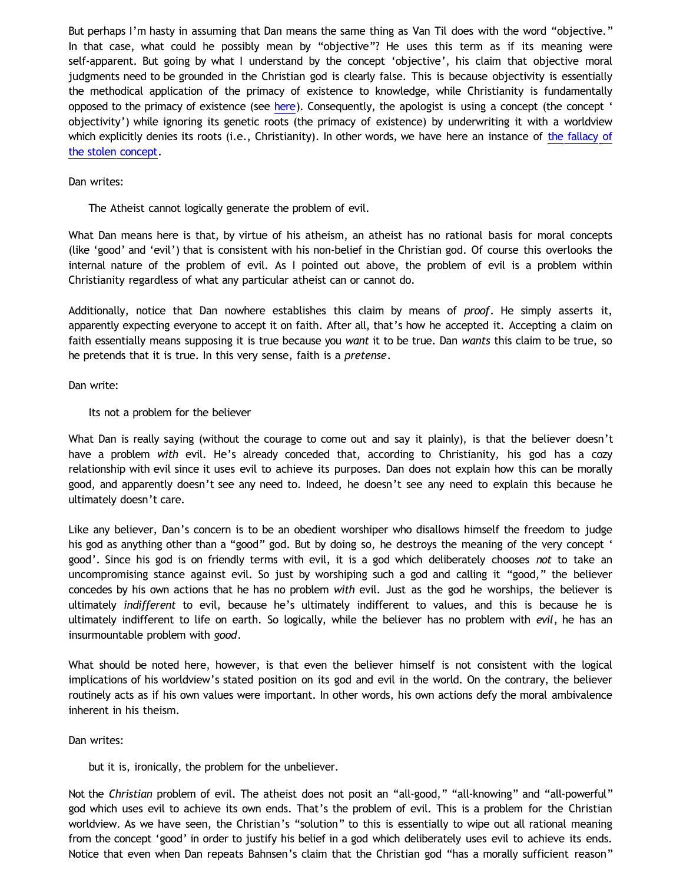But perhaps I'm hasty in assuming that Dan means the same thing as Van Til does with the word "objective." In that case, what could he possibly mean by "objective"? He uses this term as if its meaning were self-apparent. But going by what I understand by the concept 'objective', his claim that objective moral judgments need to be grounded in the Christian god is clearly false. This is because objectivity is essentially the methodical application of the primacy of existence to knowledge, while Christianity is fundamentally opposed to the primacy of existence (see [here\)](http://bahnsenburner.blogspot.com/2010/02/how-theism-violates-primacy-of.html). Consequently, the apologist is using a concept (the concept ' objectivity') while ignoring its genetic roots (the primacy of existence) by underwriting it with a worldview which explicitly denies its roots (i.e., Christianity). In other words, we have here an instance of [the fallacy of](http://bahnsenburner.blogspot.com/2008/06/stolen-concepts-and-intellectual.html) [the stolen concept.](http://bahnsenburner.blogspot.com/2008/06/stolen-concepts-and-intellectual.html)

Dan writes:

The Atheist cannot logically generate the problem of evil.

What Dan means here is that, by virtue of his atheism, an atheist has no rational basis for moral concepts (like 'good' and 'evil') that is consistent with his non-belief in the Christian god. Of course this overlooks the internal nature of the problem of evil. As I pointed out above, the problem of evil is a problem within Christianity regardless of what any particular atheist can or cannot do.

Additionally, notice that Dan nowhere establishes this claim by means of *proof*. He simply asserts it, apparently expecting everyone to accept it on faith. After all, that's how he accepted it. Accepting a claim on faith essentially means supposing it is true because you *want* it to be true. Dan *wants* this claim to be true, so he pretends that it is true. In this very sense, faith is a *pretense*.

Dan write:

Its not a problem for the believer

What Dan is really saying (without the courage to come out and say it plainly), is that the believer doesn't have a problem *with* evil. He's already conceded that, according to Christianity, his god has a cozy relationship with evil since it uses evil to achieve its purposes. Dan does not explain how this can be morally good, and apparently doesn't see any need to. Indeed, he doesn't see any need to explain this because he ultimately doesn't care.

Like any believer, Dan's concern is to be an obedient worshiper who disallows himself the freedom to judge his god as anything other than a "good" god. But by doing so, he destroys the meaning of the very concept ' good'. Since his god is on friendly terms with evil, it is a god which deliberately chooses *not* to take an uncompromising stance against evil. So just by worshiping such a god and calling it "good," the believer concedes by his own actions that he has no problem *with* evil. Just as the god he worships, the believer is ultimately *indifferent* to evil, because he's ultimately indifferent to values, and this is because he is ultimately indifferent to life on earth. So logically, while the believer has no problem with *evil*, he has an insurmountable problem with *good*.

What should be noted here, however, is that even the believer himself is not consistent with the logical implications of his worldview's stated position on its god and evil in the world. On the contrary, the believer routinely acts as if his own values were important. In other words, his own actions defy the moral ambivalence inherent in his theism.

Dan writes:

but it is, ironically, the problem for the unbeliever.

Not the *Christian* problem of evil. The atheist does not posit an "all-good," "all-knowing" and "all-powerful" god which uses evil to achieve its own ends. That's the problem of evil. This is a problem for the Christian worldview. As we have seen, the Christian's "solution" to this is essentially to wipe out all rational meaning from the concept 'good' in order to justify his belief in a god which deliberately uses evil to achieve its ends. Notice that even when Dan repeats Bahnsen's claim that the Christian god "has a morally sufficient reason"